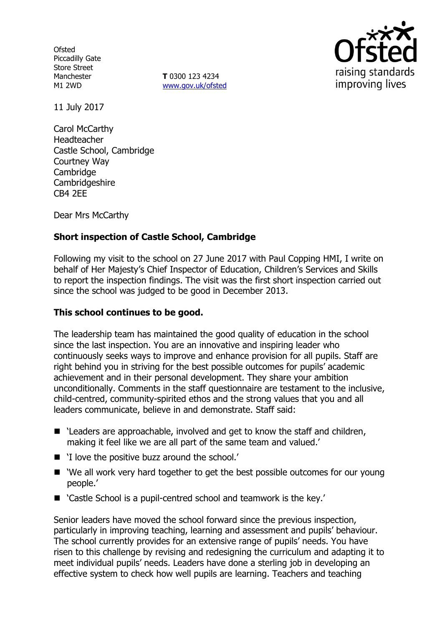**Ofsted** Piccadilly Gate Store Street Manchester M1 2WD

**T** 0300 123 4234 www.gov.uk/ofsted



11 July 2017

Carol McCarthy Headteacher Castle School, Cambridge Courtney Way **Cambridge** Cambridgeshire CB4 2EE

Dear Mrs McCarthy

## **Short inspection of Castle School, Cambridge**

Following my visit to the school on 27 June 2017 with Paul Copping HMI, I write on behalf of Her Majesty's Chief Inspector of Education, Children's Services and Skills to report the inspection findings. The visit was the first short inspection carried out since the school was judged to be good in December 2013.

### **This school continues to be good.**

The leadership team has maintained the good quality of education in the school since the last inspection. You are an innovative and inspiring leader who continuously seeks ways to improve and enhance provision for all pupils. Staff are right behind you in striving for the best possible outcomes for pupils' academic achievement and in their personal development. They share your ambition unconditionally. Comments in the staff questionnaire are testament to the inclusive, child-centred, community-spirited ethos and the strong values that you and all leaders communicate, believe in and demonstrate. Staff said:

- 'Leaders are approachable, involved and get to know the staff and children, making it feel like we are all part of the same team and valued.'
- 'I love the positive buzz around the school.'
- 'We all work very hard together to get the best possible outcomes for our young people.'
- 'Castle School is a pupil-centred school and teamwork is the key.'

Senior leaders have moved the school forward since the previous inspection, particularly in improving teaching, learning and assessment and pupils' behaviour. The school currently provides for an extensive range of pupils' needs. You have risen to this challenge by revising and redesigning the curriculum and adapting it to meet individual pupils' needs. Leaders have done a sterling job in developing an effective system to check how well pupils are learning. Teachers and teaching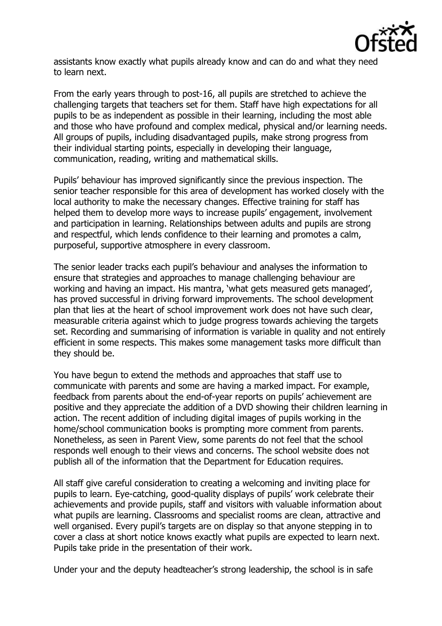

assistants know exactly what pupils already know and can do and what they need to learn next.

From the early years through to post-16, all pupils are stretched to achieve the challenging targets that teachers set for them. Staff have high expectations for all pupils to be as independent as possible in their learning, including the most able and those who have profound and complex medical, physical and/or learning needs. All groups of pupils, including disadvantaged pupils, make strong progress from their individual starting points, especially in developing their language, communication, reading, writing and mathematical skills.

Pupils' behaviour has improved significantly since the previous inspection. The senior teacher responsible for this area of development has worked closely with the local authority to make the necessary changes. Effective training for staff has helped them to develop more ways to increase pupils' engagement, involvement and participation in learning. Relationships between adults and pupils are strong and respectful, which lends confidence to their learning and promotes a calm, purposeful, supportive atmosphere in every classroom.

The senior leader tracks each pupil's behaviour and analyses the information to ensure that strategies and approaches to manage challenging behaviour are working and having an impact. His mantra, 'what gets measured gets managed', has proved successful in driving forward improvements. The school development plan that lies at the heart of school improvement work does not have such clear, measurable criteria against which to judge progress towards achieving the targets set. Recording and summarising of information is variable in quality and not entirely efficient in some respects. This makes some management tasks more difficult than they should be.

You have begun to extend the methods and approaches that staff use to communicate with parents and some are having a marked impact. For example, feedback from parents about the end-of-year reports on pupils' achievement are positive and they appreciate the addition of a DVD showing their children learning in action. The recent addition of including digital images of pupils working in the home/school communication books is prompting more comment from parents. Nonetheless, as seen in Parent View, some parents do not feel that the school responds well enough to their views and concerns. The school website does not publish all of the information that the Department for Education requires.

All staff give careful consideration to creating a welcoming and inviting place for pupils to learn. Eye-catching, good-quality displays of pupils' work celebrate their achievements and provide pupils, staff and visitors with valuable information about what pupils are learning. Classrooms and specialist rooms are clean, attractive and well organised. Every pupil's targets are on display so that anyone stepping in to cover a class at short notice knows exactly what pupils are expected to learn next. Pupils take pride in the presentation of their work.

Under your and the deputy headteacher's strong leadership, the school is in safe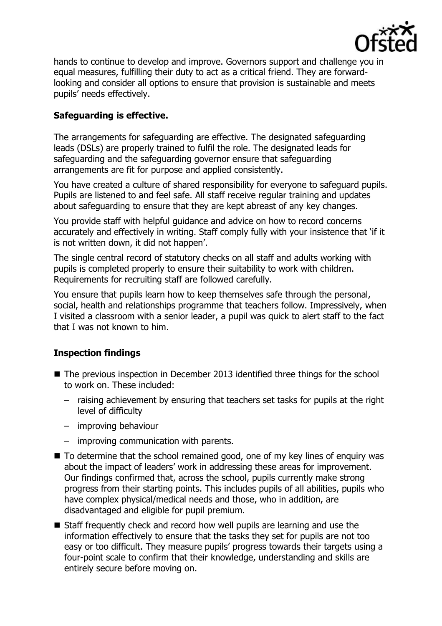

hands to continue to develop and improve. Governors support and challenge you in equal measures, fulfilling their duty to act as a critical friend. They are forwardlooking and consider all options to ensure that provision is sustainable and meets pupils' needs effectively.

# **Safeguarding is effective.**

The arrangements for safeguarding are effective. The designated safeguarding leads (DSLs) are properly trained to fulfil the role. The designated leads for safeguarding and the safeguarding governor ensure that safeguarding arrangements are fit for purpose and applied consistently.

You have created a culture of shared responsibility for everyone to safeguard pupils. Pupils are listened to and feel safe. All staff receive regular training and updates about safeguarding to ensure that they are kept abreast of any key changes.

You provide staff with helpful guidance and advice on how to record concerns accurately and effectively in writing. Staff comply fully with your insistence that 'if it is not written down, it did not happen'.

The single central record of statutory checks on all staff and adults working with pupils is completed properly to ensure their suitability to work with children. Requirements for recruiting staff are followed carefully.

You ensure that pupils learn how to keep themselves safe through the personal, social, health and relationships programme that teachers follow. Impressively, when I visited a classroom with a senior leader, a pupil was quick to alert staff to the fact that I was not known to him.

## **Inspection findings**

- The previous inspection in December 2013 identified three things for the school to work on. These included:
	- raising achievement by ensuring that teachers set tasks for pupils at the right level of difficulty
	- improving behaviour
	- improving communication with parents.
- To determine that the school remained good, one of my key lines of enguiry was about the impact of leaders' work in addressing these areas for improvement. Our findings confirmed that, across the school, pupils currently make strong progress from their starting points. This includes pupils of all abilities, pupils who have complex physical/medical needs and those, who in addition, are disadvantaged and eligible for pupil premium.
- Staff frequently check and record how well pupils are learning and use the information effectively to ensure that the tasks they set for pupils are not too easy or too difficult. They measure pupils' progress towards their targets using a four-point scale to confirm that their knowledge, understanding and skills are entirely secure before moving on.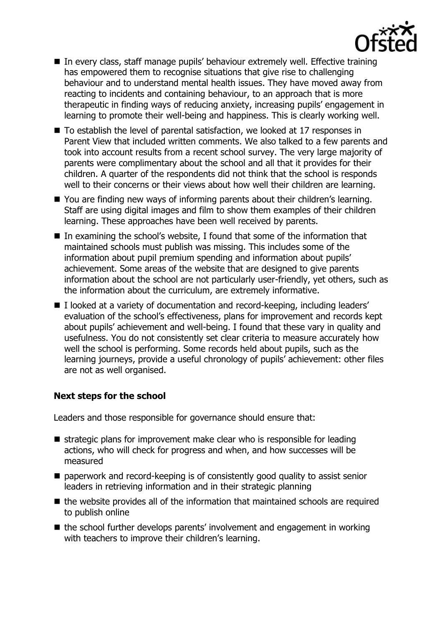

- In every class, staff manage pupils' behaviour extremely well. Effective training has empowered them to recognise situations that give rise to challenging behaviour and to understand mental health issues. They have moved away from reacting to incidents and containing behaviour, to an approach that is more therapeutic in finding ways of reducing anxiety, increasing pupils' engagement in learning to promote their well-being and happiness. This is clearly working well.
- To establish the level of parental satisfaction, we looked at 17 responses in Parent View that included written comments. We also talked to a few parents and took into account results from a recent school survey. The very large majority of parents were complimentary about the school and all that it provides for their children. A quarter of the respondents did not think that the school is responds well to their concerns or their views about how well their children are learning.
- You are finding new ways of informing parents about their children's learning. Staff are using digital images and film to show them examples of their children learning. These approaches have been well received by parents.
- In examining the school's website, I found that some of the information that maintained schools must publish was missing. This includes some of the information about pupil premium spending and information about pupils' achievement. Some areas of the website that are designed to give parents information about the school are not particularly user-friendly, yet others, such as the information about the curriculum, are extremely informative.
- I looked at a variety of documentation and record-keeping, including leaders' evaluation of the school's effectiveness, plans for improvement and records kept about pupils' achievement and well-being. I found that these vary in quality and usefulness. You do not consistently set clear criteria to measure accurately how well the school is performing. Some records held about pupils, such as the learning journeys, provide a useful chronology of pupils' achievement: other files are not as well organised.

#### **Next steps for the school**

Leaders and those responsible for governance should ensure that:

- $\blacksquare$  strategic plans for improvement make clear who is responsible for leading actions, who will check for progress and when, and how successes will be measured
- paperwork and record-keeping is of consistently good quality to assist senior leaders in retrieving information and in their strategic planning
- $\blacksquare$  the website provides all of the information that maintained schools are required to publish online
- the school further develops parents' involvement and engagement in working with teachers to improve their children's learning.